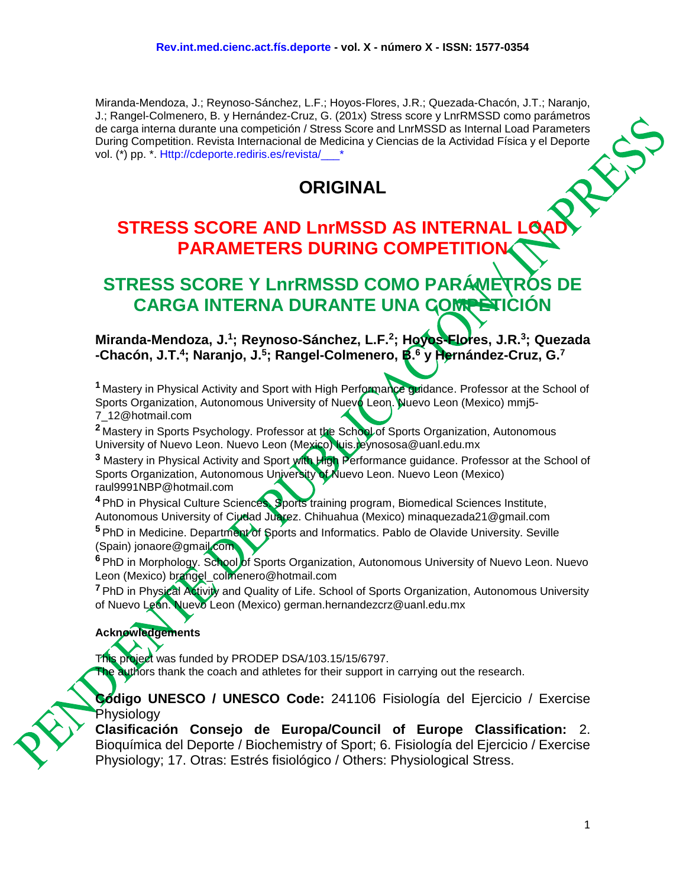Miranda-Mendoza, J.; Reynoso-Sánchez, L.F.; Hoyos-Flores, J.R.; Quezada-Chacón, J.T.; Naranjo, J.; Rangel-Colmenero, B. y Hernández-Cruz, G. (201x) Stress score y LnrRMSSD como parámetros de carga interna durante una competición / Stress Score and LnrMSSD as Internal Load Parameters During Competition. Revista Internacional de Medicina y Ciencias de la Actividad Física y el Deporte vol. (\*) pp. \*. Http://cdeporte.rediris.es/revista/



# **STRESS SCORE AND LnrMSSD AS INTERNAL LO PARAMETERS DURING COMPETITION**

# **STRESS SCORE Y LnrRMSSD COMO PARÁMETROS DE CARGA INTERNA DURANTE UNA COMPETICIÓN**

**Miranda-Mendoza, J.<sup>1</sup> ; Reynoso-Sánchez, L.F.<sup>2</sup> ; Hoyos-Flores, J.R.<sup>3</sup> ; Quezada -Chacón, J.T.<sup>4</sup> ; Naranjo, J.<sup>5</sup> ; Rangel-Colmenero, B.<sup>6</sup> y Hernández-Cruz, G.<sup>7</sup>**

**<sup>1</sup>** Mastery in Physical Activity and Sport with High Performance guidance. Professor at the School of Sports Organization, Autonomous University of Nuevo Leon. Nuevo Leon (Mexico) mmj5-7\_12@hotmail.com

<sup>2</sup> Mastery in Sports Psychology. Professor at the School of Sports Organization, Autonomous University of Nuevo Leon. Nuevo Leon (Mexico) luis.reynososa@uanl.edu.mx

**<sup>3</sup>** Mastery in Physical Activity and Sport with High Performance guidance. Professor at the School of Sports Organization, Autonomous University of Nuevo Leon. Nuevo Leon (Mexico) raul9991NBP@hotmail.com

**<sup>4</sup>** PhD in Physical Culture Sciences. Sports training program, Biomedical Sciences Institute, Autonomous University of Ciudad Juarez. Chihuahua (Mexico) minaquezada21@gmail.com

<sup>5</sup> PhD in Medicine. Department of Sports and Informatics. Pablo de Olavide University. Seville (Spain) jonaore@gmail.com

<sup>6</sup> PhD in Morphology. School of Sports Organization, Autonomous University of Nuevo Leon. Nuevo Leon (Mexico) brangel\_colmenero@hotmail.com

**<sup>7</sup>** PhD in Physical Activity and Quality of Life. School of Sports Organization, Autonomous University of Nuevo Leon. Nuevo Leon (Mexico) german.hernandezcrz@uanl.edu.mx

#### **Acknowledgements**

This project was funded by PRODEP DSA/103.15/15/6797. The authors thank the coach and athletes for their support in carrying out the research.

**Código UNESCO / UNESCO Code:** 241106 Fisiología del Ejercicio / Exercise Physiology

**Clasificación Consejo de Europa/Council of Europe Classification:** 2. Bioquímica del Deporte / Biochemistry of Sport; 6. Fisiología del Ejercicio / Exercise Physiology; 17. Otras: Estrés fisiológico / Others: Physiological Stress.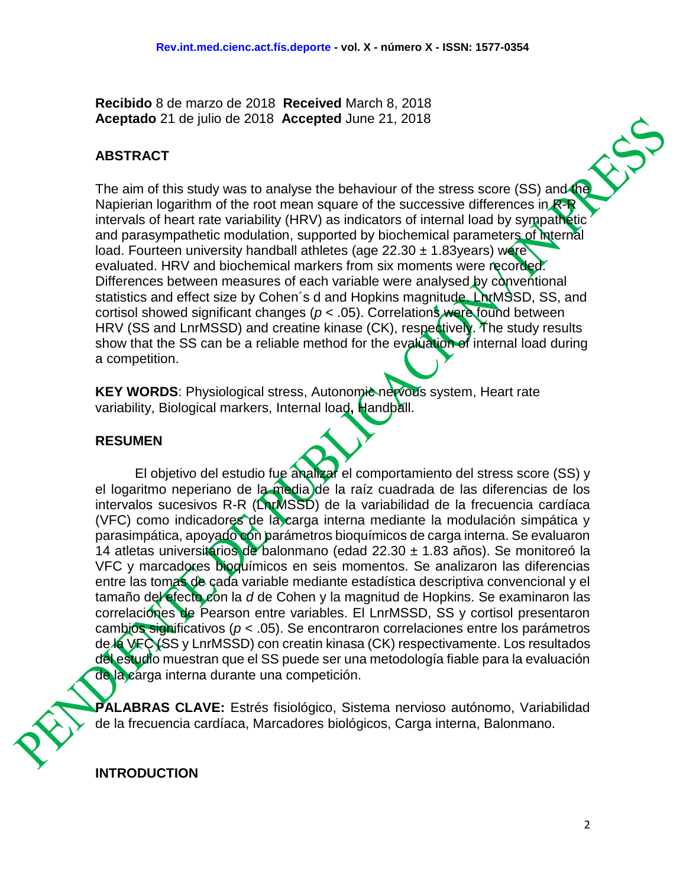**Recibido** 8 de marzo de 2018 **Received** March 8, 2018 **Aceptado** 21 de julio de 2018 **Accepted** June 21, 2018

### **ABSTRACT**

The aim of this study was to analyse the behaviour of the stress score (SS) and the Napierian logarithm of the root mean square of the successive differences in  $R - R$ intervals of heart rate variability (HRV) as indicators of internal load by sympathetic and parasympathetic modulation, supported by biochemical parameters of internal load. Fourteen university handball athletes (age  $22.30 \pm 1.83$ years) were evaluated. HRV and biochemical markers from six moments were recorded. Differences between measures of each variable were analysed by conventional statistics and effect size by Cohen's d and Hopkins magnitude. LA MSSD, SS, and cortisol showed significant changes (*p* < .05). Correlations were found between HRV (SS and LnrMSSD) and creatine kinase (CK), respectively. The study results show that the SS can be a reliable method for the evaluation of internal load during a competition.

**KEY WORDS:** Physiological stress, Autonomic nervous system, Heart rate variability, Biological markers, Internal load**,** Handball.

#### **RESUMEN**

El objetivo del estudio fue analizar el comportamiento del stress score (SS) y el logaritmo neperiano de la media de la raíz cuadrada de las diferencias de los intervalos sucesivos R-R (LnrMSSD) de la variabilidad de la frecuencia cardíaca (VFC) como indicadores de la carga interna mediante la modulación simpática y parasimpática, apoyado con parámetros bioquímicos de carga interna. Se evaluaron 14 atletas universitarios de balonmano (edad 22.30 ± 1.83 años). Se monitoreó la VFC y marcadores bioquímicos en seis momentos. Se analizaron las diferencias entre las tomas de cada variable mediante estadística descriptiva convencional y el tamaño del efecto con la *d* de Cohen y la magnitud de Hopkins. Se examinaron las correlaciones de Pearson entre variables. El LnrMSSD, SS y cortisol presentaron cambios significativos (*p* < .05). Se encontraron correlaciones entre los parámetros de la VFC (SS y LnrMSSD) con creatin kinasa (CK) respectivamente. Los resultados del estudio muestran que el SS puede ser una metodología fiable para la evaluación de la carga interna durante una competición.

**PALABRAS CLAVE:** Estrés fisiológico, Sistema nervioso autónomo, Variabilidad de la frecuencia cardíaca, Marcadores biológicos, Carga interna, Balonmano.

**INTRODUCTION**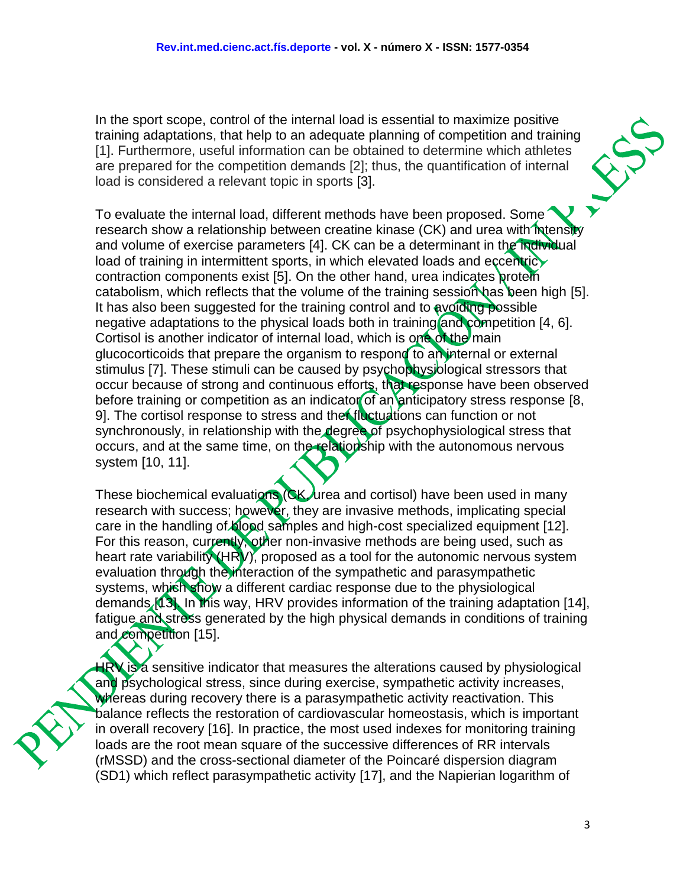In the sport scope, control of the internal load is essential to maximize positive training adaptations, that help to an adequate planning of competition and training [1]. Furthermore, useful information can be obtained to determine which athletes are prepared for the competition demands [2]; thus, the quantification of internal load is considered a relevant topic in sports [3].

To evaluate the internal load, different methods have been proposed. Some research show a relationship between creatine kinase (CK) and urea with intensity and volume of exercise parameters [4]. CK can be a determinant in the individual load of training in intermittent sports, in which elevated loads and eccentricy contraction components exist [5]. On the other hand, urea indicates protein catabolism, which reflects that the volume of the training session has been high [5]. It has also been suggested for the training control and to avoiding possible negative adaptations to the physical loads both in training and competition [4, 6]. Cortisol is another indicator of internal load, which is one of the main glucocorticoids that prepare the organism to respond to an internal or external stimulus [7]. These stimuli can be caused by psychophysiological stressors that occur because of strong and continuous efforts, that response have been observed before training or competition as an indicator of an anticipatory stress response [8, 9]. The cortisol response to stress and ther fluctuations can function or not synchronously, in relationship with the degree of psychophysiological stress that occurs, and at the same time, on the relationship with the autonomous nervous system [10, 11].

These biochemical evaluations (CK, urea and cortisol) have been used in many research with success; however, they are invasive methods, implicating special care in the handling of blood samples and high-cost specialized equipment [12]. For this reason, currently, other non-invasive methods are being used, such as heart rate variability (HRV), proposed as a tool for the autonomic nervous system evaluation through the interaction of the sympathetic and parasympathetic systems, which show a different cardiac response due to the physiological demands [13]. In this way, HRV provides information of the training adaptation [14], fatigue and stress generated by the high physical demands in conditions of training and competition [15].

 $H_N$  is a sensitive indicator that measures the alterations caused by physiological and psychological stress, since during exercise, sympathetic activity increases, whereas during recovery there is a parasympathetic activity reactivation. This balance reflects the restoration of cardiovascular homeostasis, which is important in overall recovery [16]. In practice, the most used indexes for monitoring training loads are the root mean square of the successive differences of RR intervals (rMSSD) and the cross-sectional diameter of the Poincaré dispersion diagram (SD1) which reflect parasympathetic activity [17], and the Napierian logarithm of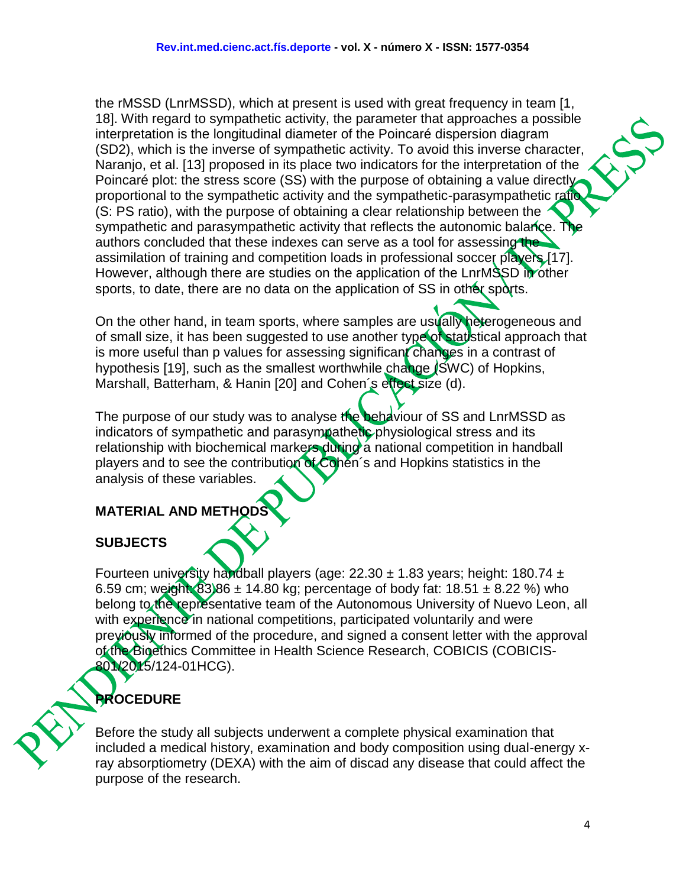the rMSSD (LnrMSSD), which at present is used with great frequency in team [1, 18]. With regard to sympathetic activity, the parameter that approaches a possible interpretation is the longitudinal diameter of the Poincaré dispersion diagram (SD2), which is the inverse of sympathetic activity. To avoid this inverse character, Naranjo, et al. [13] proposed in its place two indicators for the interpretation of the Poincaré plot: the stress score (SS) with the purpose of obtaining a value directly proportional to the sympathetic activity and the sympathetic-parasympathetic ratio (S: PS ratio), with the purpose of obtaining a clear relationship between the sympathetic and parasympathetic activity that reflects the autonomic balance. The authors concluded that these indexes can serve as a tool for assessing the assimilation of training and competition loads in professional soccer players [17]. However, although there are studies on the application of the LnrMSSD in other sports, to date, there are no data on the application of SS in other sports.

On the other hand, in team sports, where samples are usually heterogeneous and of small size, it has been suggested to use another type of statistical approach that is more useful than p values for assessing significant changes in a contrast of hypothesis [19], such as the smallest worthwhile change (SWC) of Hopkins, Marshall, Batterham, & Hanin [20] and Cohen's effect size (d).

The purpose of our study was to analyse the behaviour of SS and LnrMSSD as indicators of sympathetic and parasympathetic physiological stress and its relationship with biochemical markers during a national competition in handball players and to see the contribution of Cohen´s and Hopkins statistics in the analysis of these variables.

# **MATERIAL AND METHODS**

# **SUBJECTS**

Fourteen university handball players (age:  $22.30 \pm 1.83$  years; height: 180.74  $\pm$ 6.59 cm; weight:  $83.86 \pm 14.80$  kg; percentage of body fat:  $18.51 \pm 8.22$  %) who belong to the representative team of the Autonomous University of Nuevo Leon, all with experience in national competitions, participated voluntarily and were previously informed of the procedure, and signed a consent letter with the approval of the Bioethics Committee in Health Science Research, COBICIS (COBICIS-801/2015/124-01HCG).

# **PROCEDURE**

Before the study all subjects underwent a complete physical examination that included a medical history, examination and body composition using dual-energy xray absorptiometry (DEXA) with the aim of discad any disease that could affect the purpose of the research.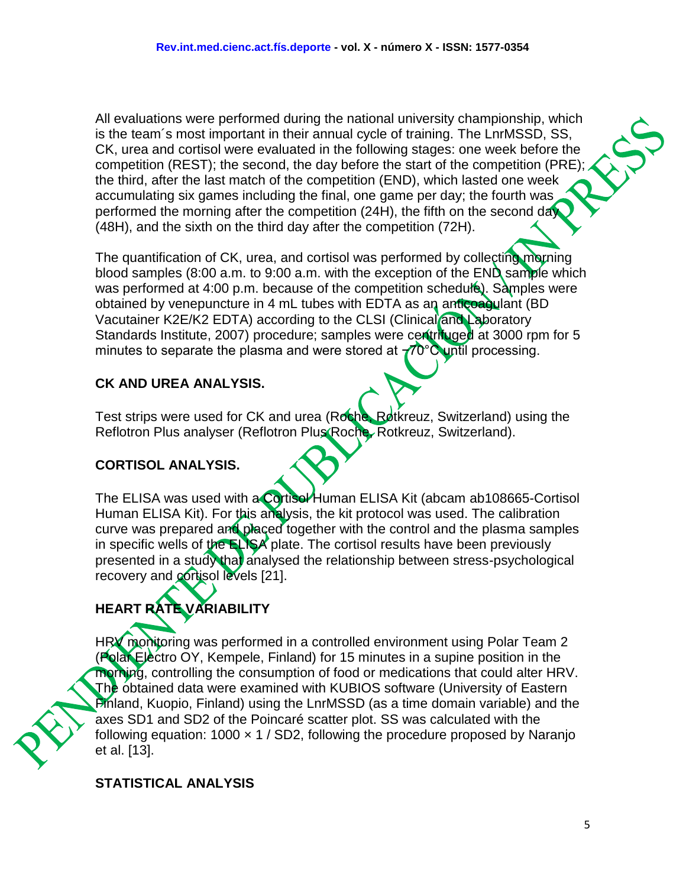All evaluations were performed during the national university championship, which is the team´s most important in their annual cycle of training. The LnrMSSD, SS, CK, urea and cortisol were evaluated in the following stages: one week before the competition (REST); the second, the day before the start of the competition (PRE); the third, after the last match of the competition (END), which lasted one week accumulating six games including the final, one game per day; the fourth was performed the morning after the competition (24H), the fifth on the second day (48H), and the sixth on the third day after the competition (72H).

The quantification of CK, urea, and cortisol was performed by collecting morning blood samples (8:00 a.m. to 9:00 a.m. with the exception of the  $EN\ddot{D}$  sample which was performed at 4:00 p.m. because of the competition schedule). Samples were obtained by venepuncture in 4 mL tubes with EDTA as an anticoagulant (BD Vacutainer K2E/K2 EDTA) according to the CLSI (Clinical and Laboratory Standards Institute, 2007) procedure; samples were centrifuged at 3000 rpm for 5 minutes to separate the plasma and were stored at  $-70^{\circ}$ C until processing.

# **CK AND UREA ANALYSIS.**

Test strips were used for CK and urea (Roche, Rotkreuz, Switzerland) using the Reflotron Plus analyser (Reflotron Plus Roche, Rotkreuz, Switzerland).

# **CORTISOL ANALYSIS.**

The ELISA was used with a Cortisol Human ELISA Kit (abcam ab108665-Cortisol Human ELISA Kit). For this analysis, the kit protocol was used. The calibration curve was prepared and placed together with the control and the plasma samples in specific wells of the ELISA plate. The cortisol results have been previously presented in a study that analysed the relationship between stress-psychological recovery and cortisol levels [21].

# **HEART RATE VARIABILITY**

HRV monitoring was performed in a controlled environment using Polar Team 2 (Polar Electro OY, Kempele, Finland) for 15 minutes in a supine position in the morning, controlling the consumption of food or medications that could alter HRV. The obtained data were examined with KUBIOS software (University of Eastern Finland, Kuopio, Finland) using the LnrMSSD (as a time domain variable) and the axes SD1 and SD2 of the Poincaré scatter plot. SS was calculated with the following equation:  $1000 \times 1$  / SD2, following the procedure proposed by Naranjo et al. [13].

### **STATISTICAL ANALYSIS**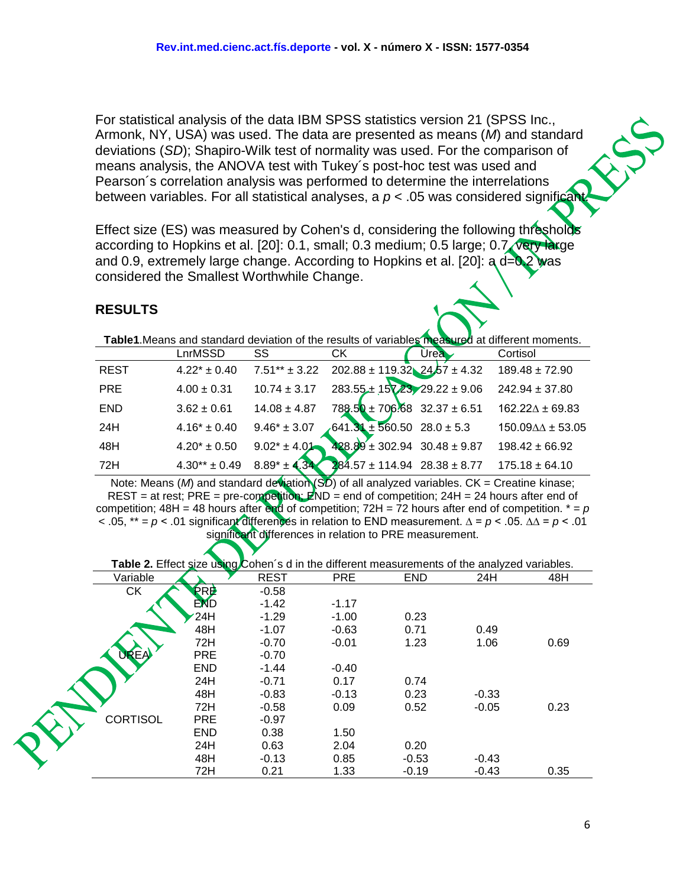For statistical analysis of the data IBM SPSS statistics version 21 (SPSS Inc., Armonk, NY, USA) was used. The data are presented as means (*M*) and standard deviations (*SD*); Shapiro-Wilk test of normality was used. For the comparison of means analysis, the ANOVA test with Tukey´s post-hoc test was used and Pearson´s correlation analysis was performed to determine the interrelations between variables. For all statistical analyses, a  $p < .05$  was considered significal

Effect size (ES) was measured by Cohen's d, considering the following thresholds according to Hopkins et al. [20]: 0.1, small; 0.3 medium; 0.5 large; 0.7, very large and 0.9, extremely large change. According to Hopkins et al. [20]:  $a d=0.2$  was considered the Smallest Worthwhile Change.

#### **RESULTS**

**Table1**.Means and standard deviation of the results of variables measured at different moments.

|             | LnrMSSD           | SS                | СK                                   | <b>Urea</b> | Cortisol                         |
|-------------|-------------------|-------------------|--------------------------------------|-------------|----------------------------------|
| <b>REST</b> | $4.22* \pm 0.40$  | $7.51** \pm 3.22$ | $202.88 \pm 119.32$ $24.57 \pm 4.32$ |             | $189.48 \pm 72.90$               |
| <b>PRE</b>  | $4.00 \pm 0.31$   | $10.74 \pm 3.17$  | $283.55 \pm 157.23$ 29.22 ± 9.06     |             | $242.94 \pm 37.80$               |
| <b>END</b>  | $3.62 \pm 0.61$   | $14.08 \pm 4.87$  | $788.50 \pm 706.68$ 32.37 $\pm 6.51$ |             | $162.22 \Delta \pm 69.83$        |
| 24H         | $4.16* \pm 0.40$  | $9.46* \pm 3.07$  | $641.31 \pm 560.50$ 28.0 ± 5.3       |             | $150.09 \Delta \Delta \pm 53.05$ |
| 48H         | $4.20* \pm 0.50$  | $9.02^* \pm 4.01$ | $428.89 \pm 302.94$ 30.48 ± 9.87     |             | $198.42 \pm 66.92$               |
| 72H         | $4.30** \pm 0.49$ | $8.89^* \pm 4.34$ | $284.57 \pm 114.94$ 28.38 $\pm 8.77$ |             | $175.18 \pm 64.10$               |

Note: Means (*M*) and standard deviation (SD) of all analyzed variables. CK = Creatine kinase; REST = at rest; PRE = pre-competition;  $\cancel{F}$ ND = end of competition; 24H = 24 hours after end of competition;  $48H = 48$  hours after end of competition;  $72H = 72$  hours after end of competition.  $* = p$ < .05, \*\* = *p* ˂ .01 significant differences in relation to END measurement. ∆ = *p* < .05. ∆∆ = *p* ˂ .01 significant differences in relation to PRE measurement.

#### **Table 2.** Effect size using Cohen's d in the different measurements of the analyzed variables.

| Variable        |            | <b>REST</b> | <b>PRE</b> | <b>END</b> | 24H     | 48H  |
|-----------------|------------|-------------|------------|------------|---------|------|
| <b>CK</b>       | <b>ERE</b> | $-0.58$     |            |            |         |      |
|                 | <b>END</b> | $-1.42$     | $-1.17$    |            |         |      |
|                 | 24H        | $-1.29$     | $-1.00$    | 0.23       |         |      |
|                 | 48H        | $-1.07$     | $-0.63$    | 0.71       | 0.49    |      |
|                 | 72H        | $-0.70$     | $-0.01$    | 1.23       | 1.06    | 0.69 |
| <b>REA</b>      | <b>PRE</b> | $-0.70$     |            |            |         |      |
|                 | <b>END</b> | $-1.44$     | $-0.40$    |            |         |      |
|                 | 24H        | $-0.71$     | 0.17       | 0.74       |         |      |
|                 | 48H        | $-0.83$     | $-0.13$    | 0.23       | $-0.33$ |      |
|                 | 72H        | $-0.58$     | 0.09       | 0.52       | $-0.05$ | 0.23 |
| <b>CORTISOL</b> | <b>PRE</b> | $-0.97$     |            |            |         |      |
|                 | <b>END</b> | 0.38        | 1.50       |            |         |      |
|                 | 24H        | 0.63        | 2.04       | 0.20       |         |      |
|                 | 48H        | $-0.13$     | 0.85       | $-0.53$    | $-0.43$ |      |
|                 | 72H        | 0.21        | 1.33       | $-0.19$    | $-0.43$ | 0.35 |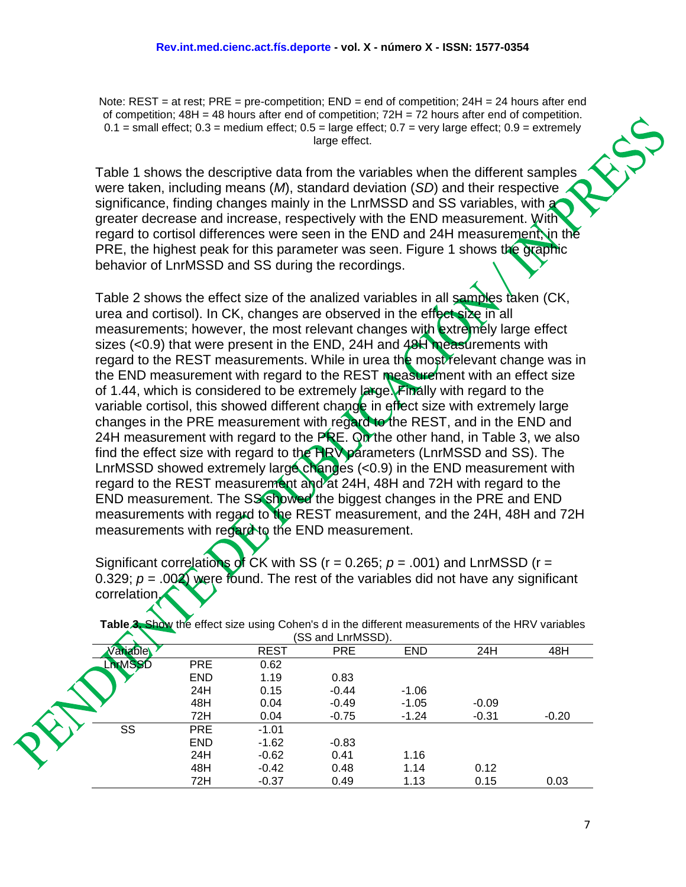Note: REST = at rest; PRE = pre-competition; END = end of competition; 24H = 24 hours after end of competition;  $48H = 48$  hours after end of competition;  $72H = 72$  hours after end of competition.  $0.1$  = small effect;  $0.3$  = medium effect;  $0.5$  = large effect;  $0.7$  = very large effect;  $0.9$  = extremely large effect.

Table 1 shows the descriptive data from the variables when the different samples were taken, including means (*M*), standard deviation (*SD*) and their respective significance, finding changes mainly in the LnrMSSD and SS variables, with a greater decrease and increase, respectively with the END measurement. With regard to cortisol differences were seen in the END and 24H measurement, in the PRE, the highest peak for this parameter was seen. Figure 1 shows the graphic behavior of LnrMSSD and SS during the recordings.

Table 2 shows the effect size of the analized variables in all samples taken (CK, urea and cortisol). In CK, changes are observed in the effect size in all measurements; however, the most relevant changes with extremely large effect sizes  $( $0.9$ ) that were present in the END, 24H and 48H measurements with$ regard to the REST measurements. While in urea the most relevant change was in the END measurement with regard to the REST measurement with an effect size of 1.44, which is considered to be extremely large. Finally with regard to the variable cortisol, this showed different change in effect size with extremely large changes in the PRE measurement with regard to the REST, and in the END and 24H measurement with regard to the PRE. On the other hand, in Table 3, we also **find the effect size with regard to the HRV parameters (LnrMSSD and SS). The** LnrMSSD showed extremely large changes (<0.9) in the END measurement with regard to the REST measurement and at 24H, 48H and 72H with regard to the END measurement. The SS showed the biggest changes in the PRE and END measurements with regard to the REST measurement, and the 24H, 48H and 72H measurements with regard to the END measurement.

Significant correlations of CK with SS ( $r = 0.265$ ;  $p = .001$ ) and LnrMSSD ( $r =$ 0.329;  $p = .002$  were found. The rest of the variables did not have any significant correlation.

|               |            |             | (SS and LnrMSSD). |            |         |         |
|---------------|------------|-------------|-------------------|------------|---------|---------|
| ariable       |            | <b>REST</b> | <b>PRE</b>        | <b>END</b> | 24H     | 48H     |
| <b>nrMSSD</b> | <b>PRE</b> | 0.62        |                   |            |         |         |
|               | <b>END</b> | 1.19        | 0.83              |            |         |         |
|               | 24H        | 0.15        | $-0.44$           | $-1.06$    |         |         |
|               | 48H        | 0.04        | $-0.49$           | $-1.05$    | $-0.09$ |         |
|               | 72H        | 0.04        | $-0.75$           | $-1.24$    | $-0.31$ | $-0.20$ |
| SS            | <b>PRE</b> | $-1.01$     |                   |            |         |         |
|               | <b>END</b> | $-1.62$     | $-0.83$           |            |         |         |
|               | 24H        | $-0.62$     | 0.41              | 1.16       |         |         |
|               | 48H        | $-0.42$     | 0.48              | 1.14       | 0.12    |         |
|               | 72H        | $-0.37$     | 0.49              | 1.13       | 0.15    | 0.03    |

**Table 3. Show the effect size using Cohen's d in the different measurements of the HRV variables**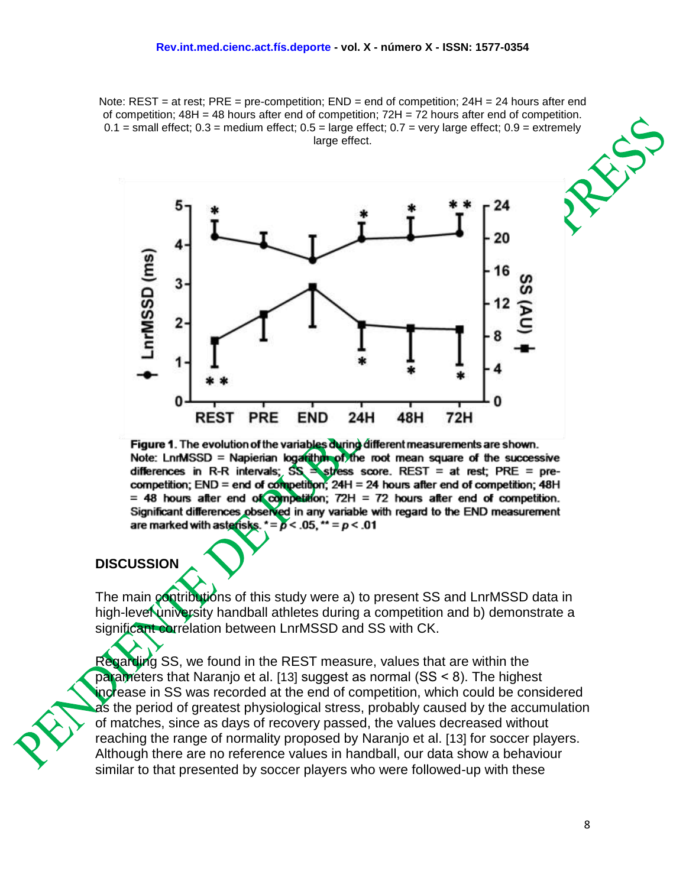Note: REST = at rest; PRE = pre-competition; END = end of competition; 24H = 24 hours after end of competition;  $48H = 48$  hours after end of competition;  $72H = 72$  hours after end of competition.  $0.1$  = small effect;  $0.3$  = medium effect;  $0.5$  = large effect;  $0.7$  = very large effect;  $0.9$  = extremely large effect.



Figure 1. The evolution of the variables during different measurements are shown. Note: LnnMSSD = Napierian logarithm of the root mean square of the successive differences in R-R intervals;  $SS = stress score$ . REST = at rest; PRE = pre-<br>competition; END = end of competition; 24H = 24 hours after end of competition; 48H = 48 hours after end of competition;  $72H = 72$  hours after end of competition. Significant differences observed in any variable with regard to the END measurement are marked with asterisks.  $\star = p < .05$ ,  $\star \star = p < .01$ 

#### **DISCUSSION**

The main contributions of this study were a) to present SS and LnrMSSD data in high-level university handball athletes during a competition and b) demonstrate a significant correlation between LnrMSSD and SS with CK.

Regarding SS, we found in the REST measure, values that are within the parameters that Naranjo et al. [13] suggest as normal (SS ˂ 8). The highest increase in SS was recorded at the end of competition, which could be considered as the period of greatest physiological stress, probably caused by the accumulation of matches, since as days of recovery passed, the values decreased without reaching the range of normality proposed by Naranjo et al. [13] for soccer players. Although there are no reference values in handball, our data show a behaviour similar to that presented by soccer players who were followed-up with these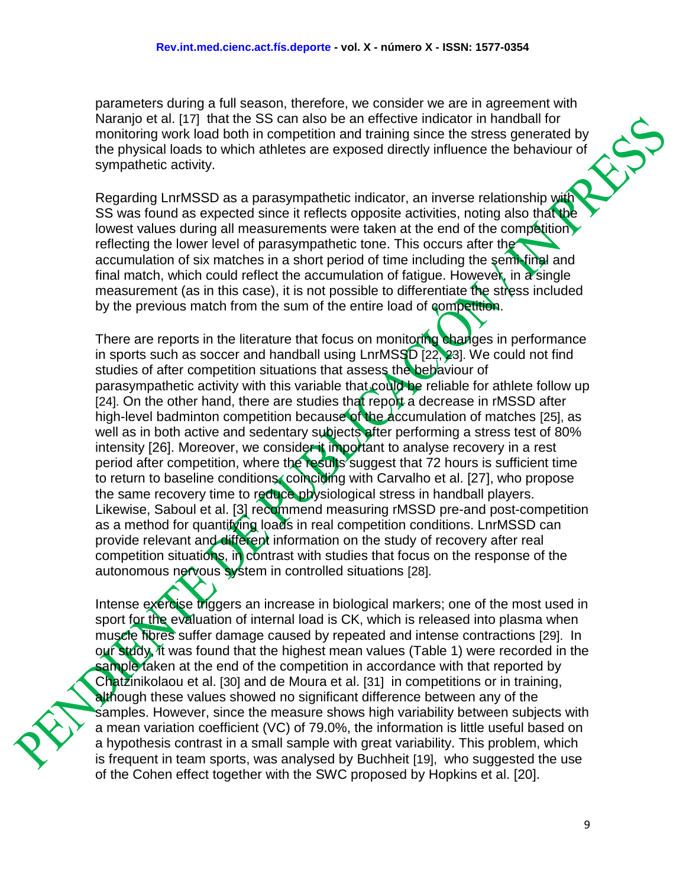parameters during a full season, therefore, we consider we are in agreement with Naranjo et al. [17] that the SS can also be an effective indicator in handball for monitoring work load both in competition and training since the stress generated by the physical loads to which athletes are exposed directly influence the behaviour of sympathetic activity.

Regarding LnrMSSD as a parasympathetic indicator, an inverse relationship with SS was found as expected since it reflects opposite activities, noting also that the lowest values during all measurements were taken at the end of the competition reflecting the lower level of parasympathetic tone. This occurs after the accumulation of six matches in a short period of time including the semi-final and final match, which could reflect the accumulation of fatigue. However, in a single measurement (as in this case), it is not possible to differentiate the stress included by the previous match from the sum of the entire load of competition.

There are reports in the literature that focus on monitoring changes in performance in sports such as soccer and handball using LnrMSSD [22, 23]. We could not find studies of after competition situations that assess the behaviour of parasympathetic activity with this variable that could be reliable for athlete follow up [24]. On the other hand, there are studies that report a decrease in rMSSD after high-level badminton competition because of the accumulation of matches [25], as well as in both active and sedentary subjects after performing a stress test of 80% intensity [26]. Moreover, we consider it important to analyse recovery in a rest period after competition, where the results suggest that 72 hours is sufficient time to return to baseline conditions, coinciding with Carvalho et al. [27], who propose the same recovery time to reduce physiological stress in handball players. Likewise, Saboul et al. [3] recommend measuring rMSSD pre-and post-competition as a method for quantifying loads in real competition conditions. LnrMSSD can provide relevant and different information on the study of recovery after real competition situations, in contrast with studies that focus on the response of the autonomous nervous system in controlled situations [28].

Intense exercise triggers an increase in biological markers; one of the most used in sport for the evaluation of internal load is CK, which is released into plasma when muscle fibres suffer damage caused by repeated and intense contractions [29]. In our study, it was found that the highest mean values (Table 1) were recorded in the sample taken at the end of the competition in accordance with that reported by Chatzinikolaou et al. [30] and de Moura et al. [31] in competitions or in training, although these values showed no significant difference between any of the samples. However, since the measure shows high variability between subjects with a mean variation coefficient (VC) of 79.0%, the information is little useful based on a hypothesis contrast in a small sample with great variability. This problem, which is frequent in team sports, was analysed by Buchheit [19], who suggested the use of the Cohen effect together with the SWC proposed by Hopkins et al. [20].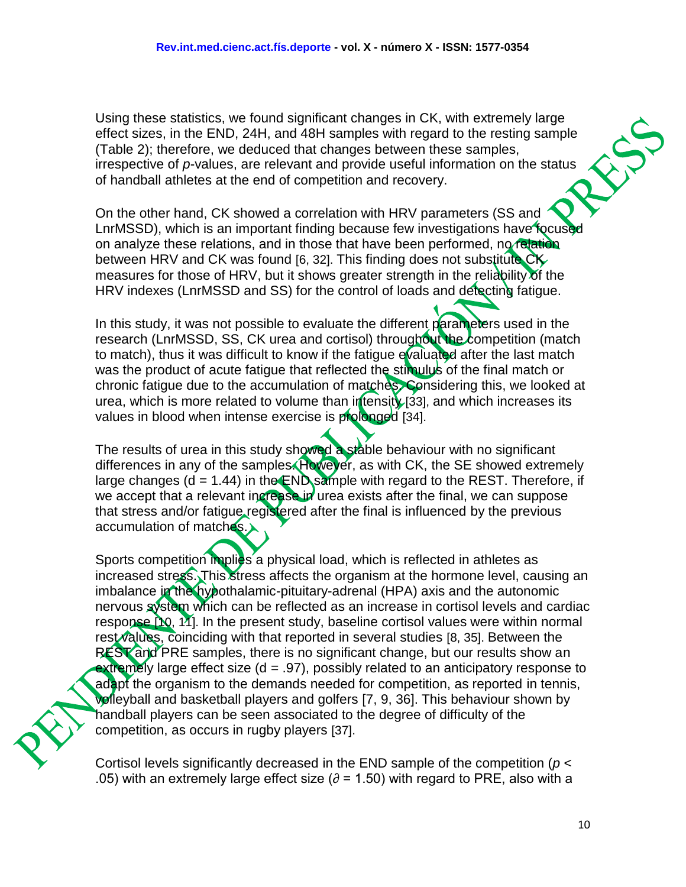Using these statistics, we found significant changes in CK, with extremely large effect sizes, in the END, 24H, and 48H samples with regard to the resting sample (Table 2); therefore, we deduced that changes between these samples, irrespective of *p*-values, are relevant and provide useful information on the status of handball athletes at the end of competition and recovery.

On the other hand, CK showed a correlation with HRV parameters (SS and LnrMSSD), which is an important finding because few investigations have focused on analyze these relations, and in those that have been performed, no relation between HRV and CK was found [6, 32]. This finding does not substitute CK measures for those of HRV, but it shows greater strength in the reliability of the HRV indexes (LnrMSSD and SS) for the control of loads and detecting fatigue.

In this study, it was not possible to evaluate the different parameters used in the research (LnrMSSD, SS, CK urea and cortisol) throughout the competition (match to match), thus it was difficult to know if the fatigue evaluated after the last match was the product of acute fatigue that reflected the stimulus of the final match or chronic fatigue due to the accumulation of matches. Considering this, we looked at urea, which is more related to volume than intensity  $[33]$ , and which increases its values in blood when intense exercise is prolonged [34].

The results of urea in this study showed a stable behaviour with no significant differences in any of the samples. However, as with CK, the SE showed extremely large changes ( $d = 1.44$ ) in the END sample with regard to the REST. Therefore, if we accept that a relevant increase in urea exists after the final, we can suppose that stress and/or fatigue registered after the final is influenced by the previous accumulation of matches.

Sports competition implies a physical load, which is reflected in athletes as increased stress. This stress affects the organism at the hormone level, causing an imbalance in the hypothalamic-pituitary-adrenal (HPA) axis and the autonomic nervous system which can be reflected as an increase in cortisol levels and cardiac response [10, 11]. In the present study, baseline cortisol values were within normal rest values, coinciding with that reported in several studies [8, 35]. Between the REST and PRE samples, there is no significant change, but our results show an extremely large effect size  $(d = .97)$ , possibly related to an anticipatory response to adapt the organism to the demands needed for competition, as reported in tennis, volleyball and basketball players and golfers [7, 9, 36]. This behaviour shown by handball players can be seen associated to the degree of difficulty of the competition, as occurs in rugby players [37].

Cortisol levels significantly decreased in the END sample of the competition (*p* < .05) with an extremely large effect size ( $\partial$  = 1.50) with regard to PRE, also with a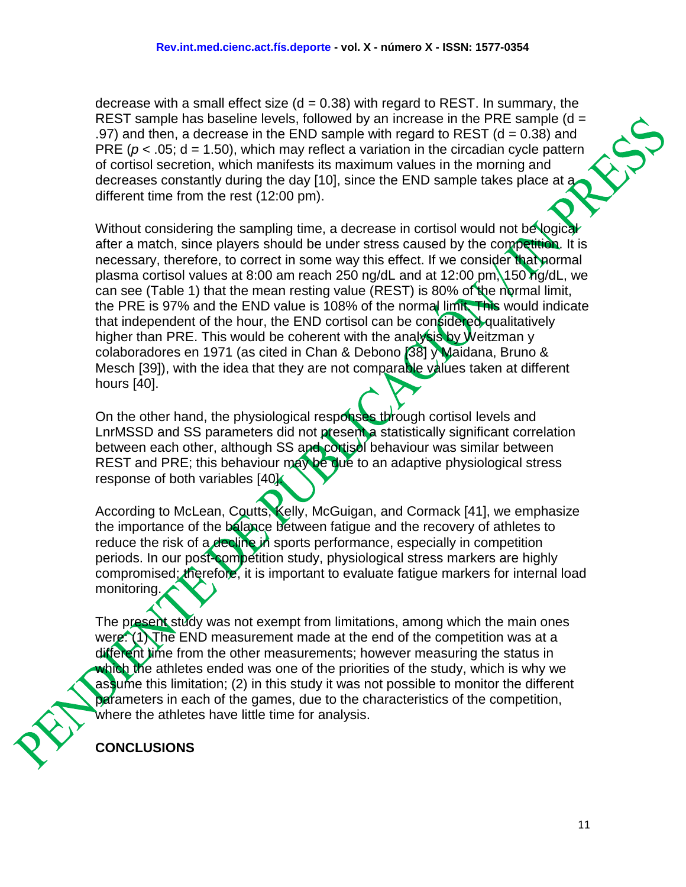decrease with a small effect size  $(d = 0.38)$  with regard to REST. In summary, the REST sample has baseline levels, followed by an increase in the PRE sample  $(d = 1, 2, 3)$ .97) and then, a decrease in the END sample with regard to REST ( $d = 0.38$ ) and PRE ( $p < .05$ ; d = 1.50), which may reflect a variation in the circadian cycle pattern of cortisol secretion, which manifests its maximum values in the morning and decreases constantly during the day [10], since the END sample takes place at a different time from the rest (12:00 pm).

Without considering the sampling time, a decrease in cortisol would not be logical after a match, since players should be under stress caused by the competition. It is necessary, therefore, to correct in some way this effect. If we consider that normal plasma cortisol values at 8:00 am reach 250 ng/dL and at 12:00 pm, 150 ng/dL, we can see (Table 1) that the mean resting value (REST) is 80% of the normal limit, the PRE is 97% and the END value is 108% of the normal limit. This would indicate that independent of the hour, the END cortisol can be considered qualitatively higher than PRE. This would be coherent with the analysis by Weitzman y colaboradores en 1971 (as cited in Chan & Debono [38] y Maidana, Bruno & Mesch [39]), with the idea that they are not comparable values taken at different hours [40].

On the other hand, the physiological responses through cortisol levels and LnrMSSD and SS parameters did not present a statistically significant correlation between each other, although SS and cortisel behaviour was similar between REST and PRE; this behaviour may be due to an adaptive physiological stress response of both variables [40].

According to McLean, Coutts, Kelly, McGuigan, and Cormack [41], we emphasize the importance of the balance between fatigue and the recovery of athletes to reduce the risk of a decline in sports performance, especially in competition periods. In our post-competition study, physiological stress markers are highly compromised; therefore, it is important to evaluate fatigue markers for internal load monitoring.

The present study was not exempt from limitations, among which the main ones were: (1) The END measurement made at the end of the competition was at a different time from the other measurements; however measuring the status in which the athletes ended was one of the priorities of the study, which is why we assume this limitation; (2) in this study it was not possible to monitor the different parameters in each of the games, due to the characteristics of the competition, where the athletes have little time for analysis.

**CONCLUSIONS**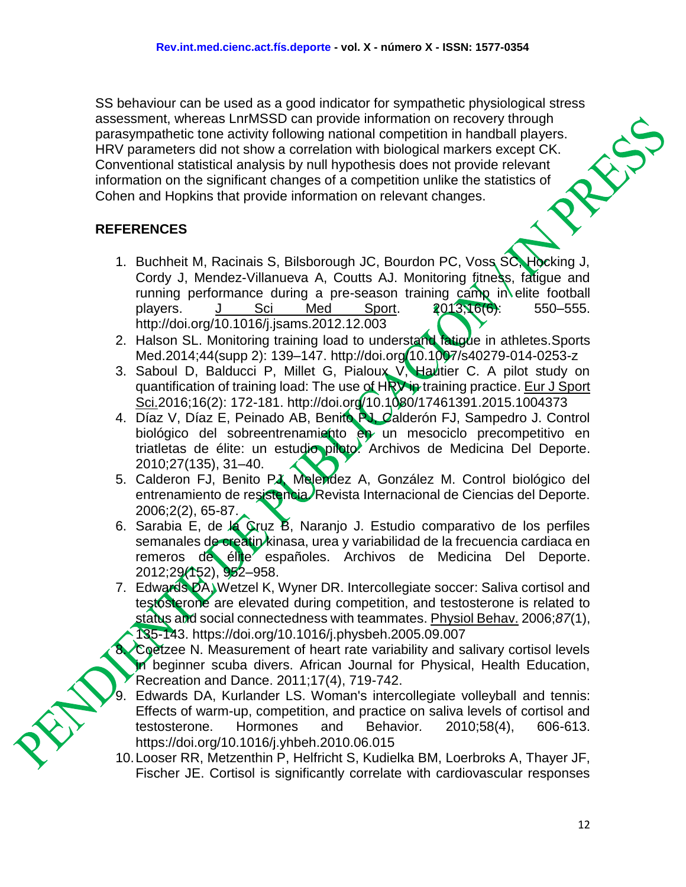SS behaviour can be used as a good indicator for sympathetic physiological stress assessment, whereas LnrMSSD can provide information on recovery through parasympathetic tone activity following national competition in handball players. HRV parameters did not show a correlation with biological markers except CK. Conventional statistical analysis by null hypothesis does not provide relevant information on the significant changes of a competition unlike the statistics of Cohen and Hopkins that provide information on relevant changes.

### **REFERENCES**

- 1. Buchheit M, Racinais S, Bilsborough JC, Bourdon PC, Voss SC, Hocking J, Cordy J, Mendez-Villanueva A, Coutts AJ. Monitoring fitness, fatigue and running performance during a pre-season training camp in elite football players. [J Sci Med Sport.](https://www.ncbi.nlm.nih.gov/pubmed/23332540) 2013;16(6): 550–555. http://doi.org/10.1016/j.jsams.2012.12.003
- 2. Halson SL. Monitoring training load to understand fatigue in athletes. Sports Med.2014;44(supp 2): 139–147. http://doi.org/10.1007/s40279-014-0253-z
- 3. Saboul D, Balducci P, Millet G, Pialoux V, Hautier C. A pilot study on quantification of training load: The use of HRV in training practice. [Eur J Sport](https://www.ncbi.nlm.nih.gov/pubmed/?term=A+pilot+study+on+quantification+of+training+load%3A+The+use+of+HRV+in+training+practice)  [Sci.2](https://www.ncbi.nlm.nih.gov/pubmed/?term=A+pilot+study+on+quantification+of+training+load%3A+The+use+of+HRV+in+training+practice)016;16(2): 172-181. http://doi.org/10.1080/17461391.2015.1004373
- 4. Díaz V, Díaz E, Peinado AB, Benito PJ, Calderón FJ, Sampedro J. Control biológico del sobreentrenamiento en un mesociclo precompetitivo en triatletas de élite: un estudio piloto. Archivos de Medicina Del Deporte. 2010;27(135), 31–40.
- 5. Calderon FJ, Benito PJ, Melendez A, González M. Control biológico del entrenamiento de resistencia. Revista Internacional de Ciencias del Deporte. 2006;2(2), 65-87.
- 6. Sarabia E, de la Cruz B, Naranjo J. Estudio comparativo de los perfiles semanales de creatin kinasa, urea y variabilidad de la frecuencia cardiaca en remeros de élite españoles. Archivos de Medicina Del Deporte. 2012;29(152), 952–958.
- 7. Edwards DA, Wetzel K, Wyner DR. Intercollegiate soccer: Saliva cortisol and testosterone are elevated during competition, and testosterone is related to status and social connectedness with teammates. [Physiol Behav.](https://www.ncbi.nlm.nih.gov/pubmed/?term=Intercollegiate+soccer%3A+Saliva+cortisol+and+testosterone+are+elevated+during+competition%2C+and+testosterone+is+related+to+status+and+social+connectedness+with+teammates) 2006;*87*(1), 135-143. https://doi.org/10.1016/j.physbeh.2005.09.007

Coetzee N. Measurement of heart rate variability and salivary cortisol levels in beginner scuba divers. African Journal for Physical, Health Education, Recreation and Dance. 2011;17(4), 719-742.

- 9. Edwards DA, Kurlander LS. Woman's intercollegiate volleyball and tennis: Effects of warm-up, competition, and practice on saliva levels of cortisol and testosterone. Hormones and Behavior*.* 2010;58(4), 606-613. https://doi.org/10.1016/j.yhbeh.2010.06.015
- 10.Looser RR, Metzenthin P, Helfricht S, Kudielka BM, Loerbroks A, Thayer JF, Fischer JE. Cortisol is significantly correlate with cardiovascular responses

12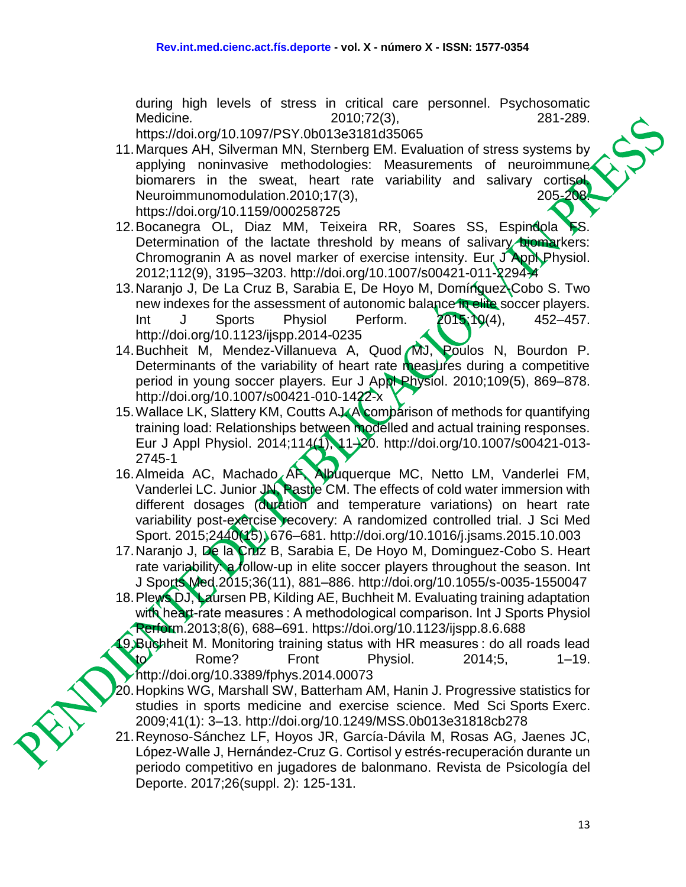during high levels of stress in critical care personnel. Psychosomatic Medicine*.* 2010;72(3), 281-289.

https://doi.org/10.1097/PSY.0b013e3181d35065

- 11.Marques AH, Silverman MN, Sternberg EM. Evaluation of stress systems by applying noninvasive methodologies: Measurements of neuroimmune biomarers in the sweat, heart rate variability and salivary cortisol Neuroimmunomodulation.2010;17(3), 205-208. https://doi.org/10.1159/000258725
- 12. Bocanegra OL, Diaz MM, Teixeira RR, Soares SS, Espindola FS. Determination of the lactate threshold by means of salivary biomarkers: Chromogranin A as novel marker of exercise intensity. Eur J Appl Physiol. 2012;112(9), 3195–3203. http://doi.org/10.1007/s00421-011-2294-4
- 13.Naranjo J, De La Cruz B, Sarabia E, De Hoyo M, Domínguez-Cobo S. Two new indexes for the assessment of autonomic balance in elite soccer players. Int J Sports Physiol Perform. 2015;10(4), 452–457. http://doi.org/10.1123/ijspp.2014-0235
- 14.Buchheit M, Mendez-Villanueva A, Quod MJ, Poulos N, Bourdon P. Determinants of the variability of heart rate measures during a competitive period in young soccer players. Eur J Appl Physiol. 2010;109(5), 869–878. http://doi.org/10.1007/s00421-010-1422-x
- 15. Wallace LK, Slattery KM, Coutts AJ. A comparison of methods for quantifying training load: Relationships between modelled and actual training responses. Eur J Appl Physiol. 2014;114(1), 11–20. http://doi.org/10.1007/s00421-013- 2745-1
- 16. Almeida AC, Machado AF, Albuquerque MC, Netto LM, Vanderlei FM, Vanderlei LC. Junior JN, Pastre CM. The effects of cold water immersion with different dosages (duration and temperature variations) on heart rate variability post-exercise recovery: A randomized controlled trial. J Sci Med Sport. 2015;2440(15), 676–681. http://doi.org/10.1016/j.jsams.2015.10.003
- 17.Naranjo J, De la Cruz B, Sarabia E, De Hoyo M, Dominguez-Cobo S. Heart rate variability: a follow-up in elite soccer players throughout the season. Int J Sports Med.2015;36(11), 881–886. http://doi.org/10.1055/s-0035-1550047
- 18.Plews DJ, Laursen PB, Kilding AE, Buchheit M. Evaluating training adaptation with heart-rate measures : A methodological comparison. Int J Sports Physiol Perform.2013;8(6), 688–691. https://doi.org/10.1123/ijspp.8.6.688
- 19.Buchheit M. Monitoring training status with HR measures : do all roads lead  $\mathsf{to}$  Rome? Front Physiol. 2014;5, 1–19. http://doi.org/10.3389/fphys.2014.00073
- 20.Hopkins WG, Marshall SW, Batterham AM, Hanin J. Progressive statistics for studies in sports medicine and exercise science. Med Sci Sports Exerc. 2009;41(1): 3–13. http://doi.org/10.1249/MSS.0b013e31818cb278
- 21.Reynoso-Sánchez LF, Hoyos JR, García-Dávila M, Rosas AG, Jaenes JC, López-Walle J, Hernández-Cruz G. Cortisol y estrés-recuperación durante un periodo competitivo en jugadores de balonmano. Revista de Psicología del Deporte. 2017;26(suppl. 2): 125-131.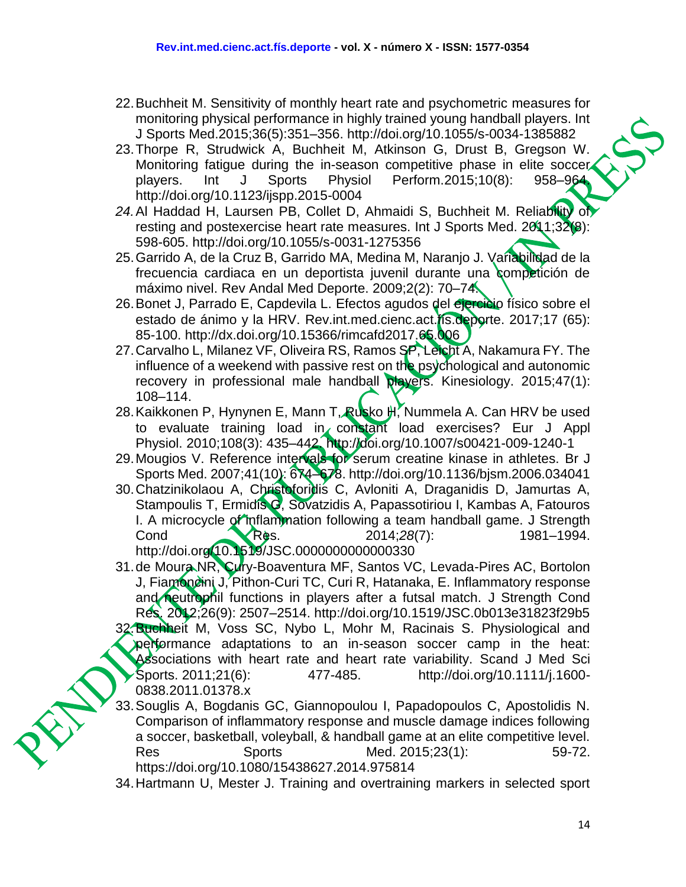- 22.Buchheit M. Sensitivity of monthly heart rate and psychometric measures for monitoring physical performance in highly trained young handball players. Int J Sports Med.2015;36(5):351–356. http://doi.org/10.1055/s-0034-1385882
- 23.Thorpe R, Strudwick A, Buchheit M, Atkinson G, Drust B, Gregson W. Monitoring fatigue during the in-season competitive phase in elite soccer players. Int J Sports Physiol Perform.2015;10(8): 958–964. http://doi.org/10.1123/ijspp.2015-0004
- *24.*Al Haddad H, Laursen PB, Collet D, Ahmaidi S, Buchheit M. Reliability of resting and postexercise heart rate measures. Int J Sports Med. 2011;32(8): 598-605. http://doi.org/10.1055/s-0031-1275356
- 25. Garrido A, de la Cruz B, Garrido MA, Medina M, Naranjo J. Variabilidad de la frecuencia cardiaca en un deportista juvenil durante una competición de máximo nivel. Rev Andal Med Deporte. 2009;2(2): 70–74.
- 26. Bonet J, Parrado E, Capdevila L. Efectos agudos del ejercicio físico sobre el estado de ánimo y la HRV. Rev.int.med.cienc.act.fís.deporte. 2017;17 (65): 85-100. http://dx.doi.org/10.15366/rimcafd2017.65.006
- 27.Carvalho L, Milanez VF, Oliveira RS, Ramos SP, Leicht A, Nakamura FY. The influence of a weekend with passive rest on the psychological and autonomic recovery in professional male handball players. Kinesiology. 2015;47(1): 108–114.
- 28. Kaikkonen P, Hynynen E, Mann T, Rusko H, Nummela A. Can HRV be used to evaluate training load in constant load exercises? Eur J Appl Physiol. 2010;108(3): 435–442. http://doi.org/10.1007/s00421-009-1240-1
- 29.Mougios V. Reference intervals for serum creatine kinase in athletes. Br J Sports Med. 2007;41(10): 674–678. http://doi.org/10.1136/bjsm.2006.034041
- 30.Chatzinikolaou A, Christoforidis C, Avloniti A, Draganidis D, Jamurtas A, Stampoulis T, Ermidis G, Sovatzidis A, Papassotiriou I, Kambas A, Fatouros I. A microcycle of inflammation following a team handball game. J Strength Cond Res. 2014;*28*(7): 1981–1994. http://doi.org/10.1519/JSC.0000000000000330
- 31.de Moura NR, Cury-Boaventura MF, Santos VC, Levada-Pires AC, Bortolon J, Fiamoncini J, Pithon-Curi TC, Curi R, Hatanaka, E, Inflammatory response and neutrophil functions in players after a futsal match. J Strength Cond Res. 2012;26(9): 2507–2514. http://doi.org/10.1519/JSC.0b013e31823f29b5 32. Buchheit M, Voss SC, Nybo L, Mohr M, Racinais S. Physiological and performance adaptations to an in-season soccer camp in the heat: Associations with heart rate and heart rate variability. Scand J Med Sci Sports. 2011;21(6): 477-485. http://doi.org/10.1111/j.1600-0838.2011.01378.x
- 33.Souglis A, Bogdanis GC, Giannopoulou I, Papadopoulos C, Apostolidis N. Comparison of inflammatory response and muscle damage indices following a soccer, basketball, voleyball, & handball game at an elite competitive level. Res Sports Med. 2015;23(1): 59-72. https://doi.org/10.1080/15438627.2014.975814
- 34.Hartmann U, Mester J. Training and overtraining markers in selected sport